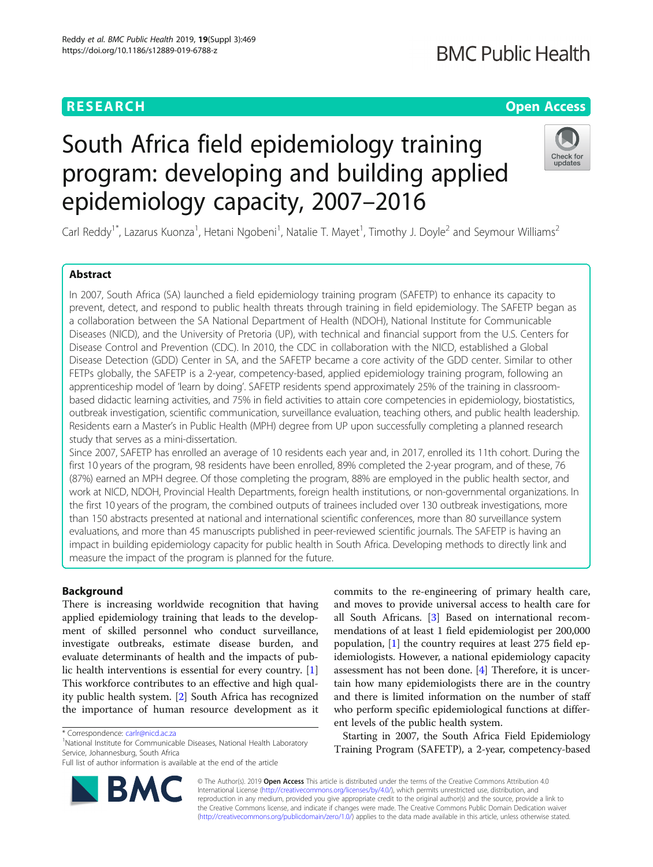## **RESEARCH CHE Open Access**

## **BMC Public Health**

# South Africa field epidemiology training program: developing and building applied epidemiology capacity, 2007–2016



Carl Reddy<sup>1\*</sup>, Lazarus Kuonza<sup>1</sup>, Hetani Ngobeni<sup>1</sup>, Natalie T. Mayet<sup>1</sup>, Timothy J. Doyle<sup>2</sup> and Seymour Williams<sup>2</sup>

## Abstract

In 2007, South Africa (SA) launched a field epidemiology training program (SAFETP) to enhance its capacity to prevent, detect, and respond to public health threats through training in field epidemiology. The SAFETP began as a collaboration between the SA National Department of Health (NDOH), National Institute for Communicable Diseases (NICD), and the University of Pretoria (UP), with technical and financial support from the U.S. Centers for Disease Control and Prevention (CDC). In 2010, the CDC in collaboration with the NICD, established a Global Disease Detection (GDD) Center in SA, and the SAFETP became a core activity of the GDD center. Similar to other FETPs globally, the SAFETP is a 2-year, competency-based, applied epidemiology training program, following an apprenticeship model of 'learn by doing'. SAFETP residents spend approximately 25% of the training in classroombased didactic learning activities, and 75% in field activities to attain core competencies in epidemiology, biostatistics, outbreak investigation, scientific communication, surveillance evaluation, teaching others, and public health leadership. Residents earn a Master's in Public Health (MPH) degree from UP upon successfully completing a planned research study that serves as a mini-dissertation.

Since 2007, SAFETP has enrolled an average of 10 residents each year and, in 2017, enrolled its 11th cohort. During the first 10 years of the program, 98 residents have been enrolled, 89% completed the 2-year program, and of these, 76 (87%) earned an MPH degree. Of those completing the program, 88% are employed in the public health sector, and work at NICD, NDOH, Provincial Health Departments, foreign health institutions, or non-governmental organizations. In the first 10 years of the program, the combined outputs of trainees included over 130 outbreak investigations, more than 150 abstracts presented at national and international scientific conferences, more than 80 surveillance system evaluations, and more than 45 manuscripts published in peer-reviewed scientific journals. The SAFETP is having an impact in building epidemiology capacity for public health in South Africa. Developing methods to directly link and measure the impact of the program is planned for the future.

### Background

There is increasing worldwide recognition that having applied epidemiology training that leads to the development of skilled personnel who conduct surveillance, investigate outbreaks, estimate disease burden, and evaluate determinants of health and the impacts of public health interventions is essential for every country. [\[1](#page-6-0)] This workforce contributes to an effective and high quality public health system. [[2\]](#page-6-0) South Africa has recognized the importance of human resource development as it

<sup>1</sup>National Institute for Communicable Diseases, National Health Laboratory Service, Johannesburg, South Africa

Full list of author information is available at the end of the article



commits to the re-engineering of primary health care, and moves to provide universal access to health care for all South Africans. [\[3](#page-6-0)] Based on international recommendations of at least 1 field epidemiologist per 200,000 population, [\[1](#page-6-0)] the country requires at least 275 field epidemiologists. However, a national epidemiology capacity assessment has not been done. [\[4](#page-7-0)] Therefore, it is uncertain how many epidemiologists there are in the country and there is limited information on the number of staff who perform specific epidemiological functions at different levels of the public health system.

Starting in 2007, the South Africa Field Epidemiology Training Program (SAFETP), a 2-year, competency-based

© The Author(s). 2019 **Open Access** This article is distributed under the terms of the Creative Commons Attribution 4.0 International License [\(http://creativecommons.org/licenses/by/4.0/](http://creativecommons.org/licenses/by/4.0/)), which permits unrestricted use, distribution, and reproduction in any medium, provided you give appropriate credit to the original author(s) and the source, provide a link to the Creative Commons license, and indicate if changes were made. The Creative Commons Public Domain Dedication waiver [\(http://creativecommons.org/publicdomain/zero/1.0/](http://creativecommons.org/publicdomain/zero/1.0/)) applies to the data made available in this article, unless otherwise stated.

<sup>\*</sup> Correspondence: [carlr@nicd.ac.za](mailto:carlr@nicd.ac.za) <sup>1</sup>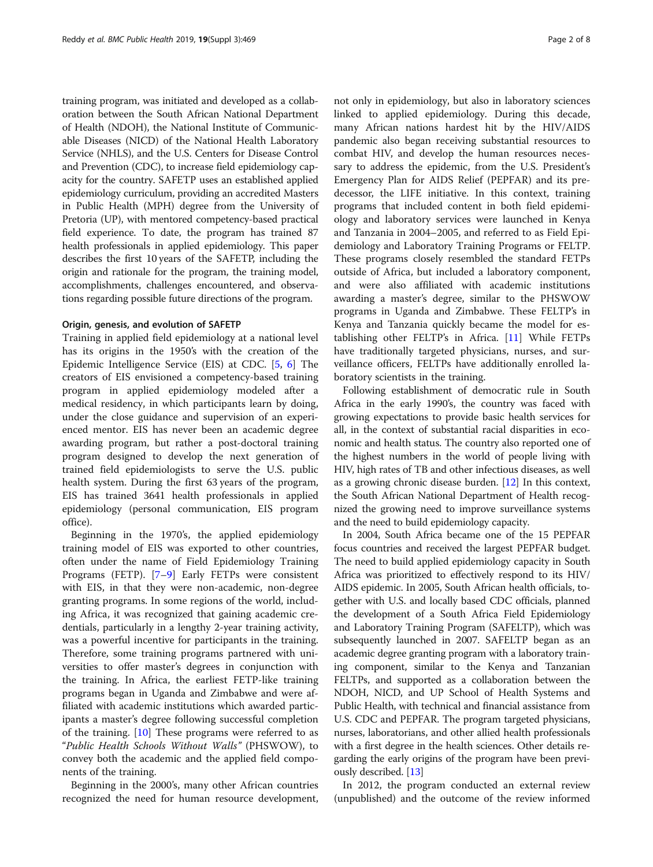training program, was initiated and developed as a collaboration between the South African National Department of Health (NDOH), the National Institute of Communicable Diseases (NICD) of the National Health Laboratory Service (NHLS), and the U.S. Centers for Disease Control and Prevention (CDC), to increase field epidemiology capacity for the country. SAFETP uses an established applied epidemiology curriculum, providing an accredited Masters in Public Health (MPH) degree from the University of Pretoria (UP), with mentored competency-based practical field experience. To date, the program has trained 87 health professionals in applied epidemiology. This paper describes the first 10 years of the SAFETP, including the origin and rationale for the program, the training model, accomplishments, challenges encountered, and observations regarding possible future directions of the program.

#### Origin, genesis, and evolution of SAFETP

Training in applied field epidemiology at a national level has its origins in the 1950's with the creation of the Epidemic Intelligence Service (EIS) at CDC. [[5,](#page-7-0) [6\]](#page-7-0) The creators of EIS envisioned a competency-based training program in applied epidemiology modeled after a medical residency, in which participants learn by doing, under the close guidance and supervision of an experienced mentor. EIS has never been an academic degree awarding program, but rather a post-doctoral training program designed to develop the next generation of trained field epidemiologists to serve the U.S. public health system. During the first 63 years of the program, EIS has trained 3641 health professionals in applied epidemiology (personal communication, EIS program office).

Beginning in the 1970's, the applied epidemiology training model of EIS was exported to other countries, often under the name of Field Epidemiology Training Programs (FETP). [\[7](#page-7-0)–[9](#page-7-0)] Early FETPs were consistent with EIS, in that they were non-academic, non-degree granting programs. In some regions of the world, including Africa, it was recognized that gaining academic credentials, particularly in a lengthy 2-year training activity, was a powerful incentive for participants in the training. Therefore, some training programs partnered with universities to offer master's degrees in conjunction with the training. In Africa, the earliest FETP-like training programs began in Uganda and Zimbabwe and were affiliated with academic institutions which awarded participants a master's degree following successful completion of the training. [\[10](#page-7-0)] These programs were referred to as "Public Health Schools Without Walls" (PHSWOW), to convey both the academic and the applied field components of the training.

Beginning in the 2000's, many other African countries recognized the need for human resource development,

not only in epidemiology, but also in laboratory sciences linked to applied epidemiology. During this decade, many African nations hardest hit by the HIV/AIDS pandemic also began receiving substantial resources to combat HIV, and develop the human resources necessary to address the epidemic, from the U.S. President's Emergency Plan for AIDS Relief (PEPFAR) and its predecessor, the LIFE initiative. In this context, training programs that included content in both field epidemiology and laboratory services were launched in Kenya and Tanzania in 2004–2005, and referred to as Field Epidemiology and Laboratory Training Programs or FELTP. These programs closely resembled the standard FETPs outside of Africa, but included a laboratory component, and were also affiliated with academic institutions awarding a master's degree, similar to the PHSWOW programs in Uganda and Zimbabwe. These FELTP's in Kenya and Tanzania quickly became the model for establishing other FELTP's in Africa. [[11](#page-7-0)] While FETPs

boratory scientists in the training. Following establishment of democratic rule in South Africa in the early 1990's, the country was faced with growing expectations to provide basic health services for all, in the context of substantial racial disparities in economic and health status. The country also reported one of the highest numbers in the world of people living with HIV, high rates of TB and other infectious diseases, as well as a growing chronic disease burden. [\[12\]](#page-7-0) In this context, the South African National Department of Health recognized the growing need to improve surveillance systems and the need to build epidemiology capacity.

have traditionally targeted physicians, nurses, and surveillance officers, FELTPs have additionally enrolled la-

In 2004, South Africa became one of the 15 PEPFAR focus countries and received the largest PEPFAR budget. The need to build applied epidemiology capacity in South Africa was prioritized to effectively respond to its HIV/ AIDS epidemic. In 2005, South African health officials, together with U.S. and locally based CDC officials, planned the development of a South Africa Field Epidemiology and Laboratory Training Program (SAFELTP), which was subsequently launched in 2007. SAFELTP began as an academic degree granting program with a laboratory training component, similar to the Kenya and Tanzanian FELTPs, and supported as a collaboration between the NDOH, NICD, and UP School of Health Systems and Public Health, with technical and financial assistance from U.S. CDC and PEPFAR. The program targeted physicians, nurses, laboratorians, and other allied health professionals with a first degree in the health sciences. Other details regarding the early origins of the program have been previously described. [[13](#page-7-0)]

In 2012, the program conducted an external review (unpublished) and the outcome of the review informed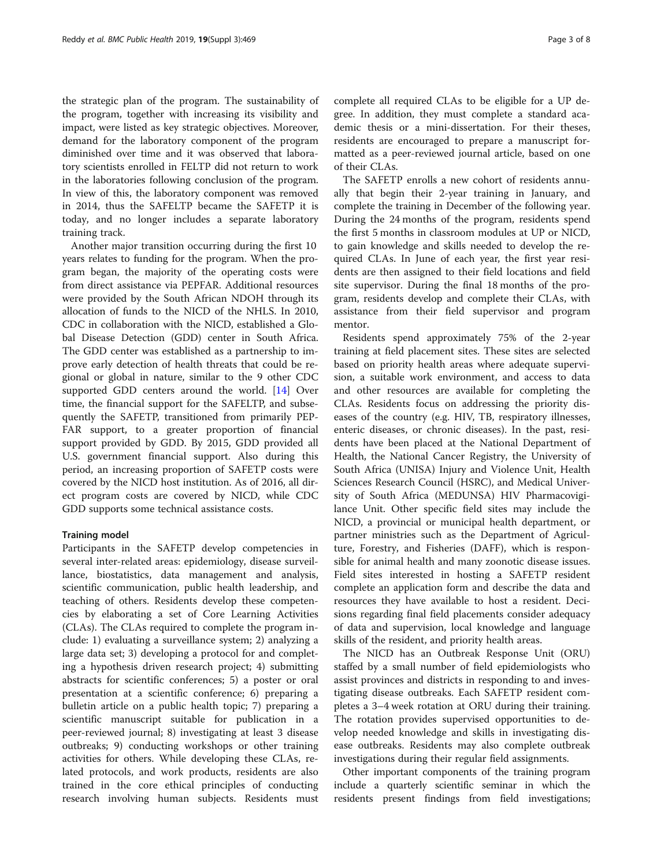the strategic plan of the program. The sustainability of the program, together with increasing its visibility and impact, were listed as key strategic objectives. Moreover, demand for the laboratory component of the program diminished over time and it was observed that laboratory scientists enrolled in FELTP did not return to work in the laboratories following conclusion of the program. In view of this, the laboratory component was removed in 2014, thus the SAFELTP became the SAFETP it is today, and no longer includes a separate laboratory training track.

Another major transition occurring during the first 10 years relates to funding for the program. When the program began, the majority of the operating costs were from direct assistance via PEPFAR. Additional resources were provided by the South African NDOH through its allocation of funds to the NICD of the NHLS. In 2010, CDC in collaboration with the NICD, established a Global Disease Detection (GDD) center in South Africa. The GDD center was established as a partnership to improve early detection of health threats that could be regional or global in nature, similar to the 9 other CDC supported GDD centers around the world. [[14\]](#page-7-0) Over time, the financial support for the SAFELTP, and subsequently the SAFETP, transitioned from primarily PEP-FAR support, to a greater proportion of financial support provided by GDD. By 2015, GDD provided all U.S. government financial support. Also during this period, an increasing proportion of SAFETP costs were covered by the NICD host institution. As of 2016, all direct program costs are covered by NICD, while CDC GDD supports some technical assistance costs.

#### Training model

Participants in the SAFETP develop competencies in several inter-related areas: epidemiology, disease surveillance, biostatistics, data management and analysis, scientific communication, public health leadership, and teaching of others. Residents develop these competencies by elaborating a set of Core Learning Activities (CLAs). The CLAs required to complete the program include: 1) evaluating a surveillance system; 2) analyzing a large data set; 3) developing a protocol for and completing a hypothesis driven research project; 4) submitting abstracts for scientific conferences; 5) a poster or oral presentation at a scientific conference; 6) preparing a bulletin article on a public health topic; 7) preparing a scientific manuscript suitable for publication in a peer-reviewed journal; 8) investigating at least 3 disease outbreaks; 9) conducting workshops or other training activities for others. While developing these CLAs, related protocols, and work products, residents are also trained in the core ethical principles of conducting research involving human subjects. Residents must complete all required CLAs to be eligible for a UP degree. In addition, they must complete a standard academic thesis or a mini-dissertation. For their theses, residents are encouraged to prepare a manuscript formatted as a peer-reviewed journal article, based on one of their CLAs.

The SAFETP enrolls a new cohort of residents annually that begin their 2-year training in January, and complete the training in December of the following year. During the 24 months of the program, residents spend the first 5 months in classroom modules at UP or NICD, to gain knowledge and skills needed to develop the required CLAs. In June of each year, the first year residents are then assigned to their field locations and field site supervisor. During the final 18 months of the program, residents develop and complete their CLAs, with assistance from their field supervisor and program mentor.

Residents spend approximately 75% of the 2-year training at field placement sites. These sites are selected based on priority health areas where adequate supervision, a suitable work environment, and access to data and other resources are available for completing the CLAs. Residents focus on addressing the priority diseases of the country (e.g. HIV, TB, respiratory illnesses, enteric diseases, or chronic diseases). In the past, residents have been placed at the National Department of Health, the National Cancer Registry, the University of South Africa (UNISA) Injury and Violence Unit, Health Sciences Research Council (HSRC), and Medical University of South Africa (MEDUNSA) HIV Pharmacovigilance Unit. Other specific field sites may include the NICD, a provincial or municipal health department, or partner ministries such as the Department of Agriculture, Forestry, and Fisheries (DAFF), which is responsible for animal health and many zoonotic disease issues. Field sites interested in hosting a SAFETP resident complete an application form and describe the data and resources they have available to host a resident. Decisions regarding final field placements consider adequacy of data and supervision, local knowledge and language skills of the resident, and priority health areas.

The NICD has an Outbreak Response Unit (ORU) staffed by a small number of field epidemiologists who assist provinces and districts in responding to and investigating disease outbreaks. Each SAFETP resident completes a 3–4 week rotation at ORU during their training. The rotation provides supervised opportunities to develop needed knowledge and skills in investigating disease outbreaks. Residents may also complete outbreak investigations during their regular field assignments.

Other important components of the training program include a quarterly scientific seminar in which the residents present findings from field investigations;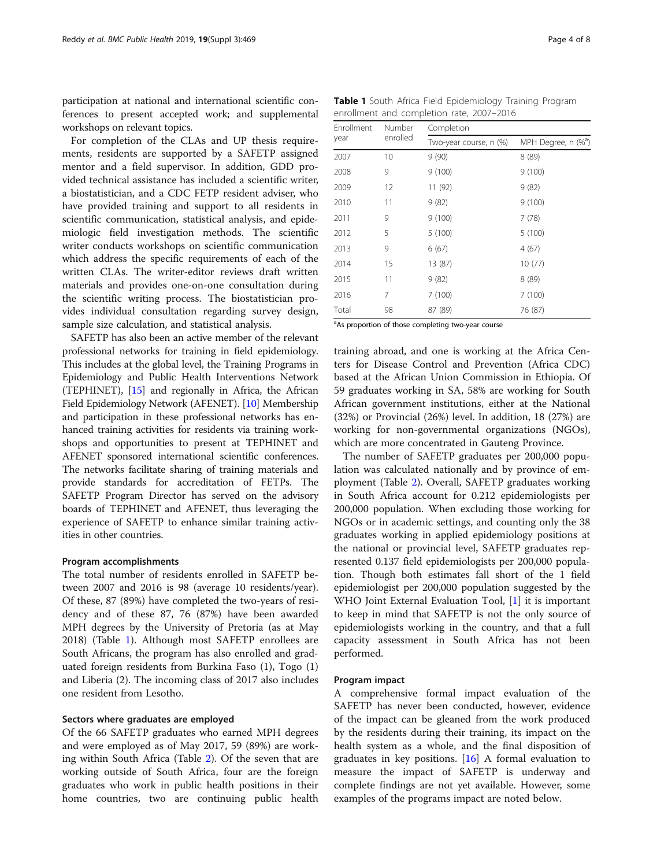participation at national and international scientific conferences to present accepted work; and supplemental workshops on relevant topics.

For completion of the CLAs and UP thesis requirements, residents are supported by a SAFETP assigned mentor and a field supervisor. In addition, GDD provided technical assistance has included a scientific writer, a biostatistician, and a CDC FETP resident adviser, who have provided training and support to all residents in scientific communication, statistical analysis, and epidemiologic field investigation methods. The scientific writer conducts workshops on scientific communication which address the specific requirements of each of the written CLAs. The writer-editor reviews draft written materials and provides one-on-one consultation during the scientific writing process. The biostatistician provides individual consultation regarding survey design, sample size calculation, and statistical analysis.

SAFETP has also been an active member of the relevant professional networks for training in field epidemiology. This includes at the global level, the Training Programs in Epidemiology and Public Health Interventions Network (TEPHINET), [\[15\]](#page-7-0) and regionally in Africa, the African Field Epidemiology Network (AFENET). [\[10\]](#page-7-0) Membership and participation in these professional networks has enhanced training activities for residents via training workshops and opportunities to present at TEPHINET and AFENET sponsored international scientific conferences. The networks facilitate sharing of training materials and provide standards for accreditation of FETPs. The SAFETP Program Director has served on the advisory boards of TEPHINET and AFENET, thus leveraging the experience of SAFETP to enhance similar training activities in other countries.

#### Program accomplishments

The total number of residents enrolled in SAFETP between 2007 and 2016 is 98 (average 10 residents/year). Of these, 87 (89%) have completed the two-years of residency and of these 87, 76 (87%) have been awarded MPH degrees by the University of Pretoria (as at May 2018) (Table 1). Although most SAFETP enrollees are South Africans, the program has also enrolled and graduated foreign residents from Burkina Faso (1), Togo (1) and Liberia (2). The incoming class of 2017 also includes one resident from Lesotho.

#### Sectors where graduates are employed

Of the 66 SAFETP graduates who earned MPH degrees and were employed as of May 2017, 59 (89%) are working within South Africa (Table [2](#page-4-0)). Of the seven that are working outside of South Africa, four are the foreign graduates who work in public health positions in their home countries, two are continuing public health

Table 1 South Africa Field Epidemiology Training Program enrollment and completion rate, 2007–2016

| Enrollment<br>year | Number<br>enrolled | Completion             |                                 |  |
|--------------------|--------------------|------------------------|---------------------------------|--|
|                    |                    | Two-year course, n (%) | MPH Degree, n (% <sup>a</sup> ) |  |
| 2007               | 10                 | 9(90)                  | 8(89)                           |  |
| 2008               | 9                  | 9(100)                 | 9(100)                          |  |
| 2009               | 12                 | 11 (92)                | 9(82)                           |  |
| 2010               | 11                 | 9(82)                  | 9(100)                          |  |
| 2011               | 9                  | 9(100)                 | 7(78)                           |  |
| 2012               | 5                  | 5(100)                 | 5(100)                          |  |
| 2013               | 9                  | 6(67)                  | 4(67)                           |  |
| 2014               | 15                 | 13 (87)                | 10(77)                          |  |
| 2015               | 11                 | 9(82)                  | 8(89)                           |  |
| 2016               | 7                  | 7(100)                 | 7(100)                          |  |
| Total              | 98                 | 87 (89)                | 76 (87)                         |  |
|                    |                    |                        |                                 |  |

<sup>a</sup>As proportion of those completing two-year course

training abroad, and one is working at the Africa Centers for Disease Control and Prevention (Africa CDC) based at the African Union Commission in Ethiopia. Of 59 graduates working in SA, 58% are working for South African government institutions, either at the National (32%) or Provincial (26%) level. In addition, 18 (27%) are working for non-governmental organizations (NGOs), which are more concentrated in Gauteng Province.

The number of SAFETP graduates per 200,000 population was calculated nationally and by province of employment (Table [2](#page-4-0)). Overall, SAFETP graduates working in South Africa account for 0.212 epidemiologists per 200,000 population. When excluding those working for NGOs or in academic settings, and counting only the 38 graduates working in applied epidemiology positions at the national or provincial level, SAFETP graduates represented 0.137 field epidemiologists per 200,000 population. Though both estimates fall short of the 1 field epidemiologist per 200,000 population suggested by the WHO Joint External Evaluation Tool, [\[1](#page-6-0)] it is important to keep in mind that SAFETP is not the only source of epidemiologists working in the country, and that a full capacity assessment in South Africa has not been performed.

#### Program impact

A comprehensive formal impact evaluation of the SAFETP has never been conducted, however, evidence of the impact can be gleaned from the work produced by the residents during their training, its impact on the health system as a whole, and the final disposition of graduates in key positions.  $[16]$  $[16]$  $[16]$  A formal evaluation to measure the impact of SAFETP is underway and complete findings are not yet available. However, some examples of the programs impact are noted below.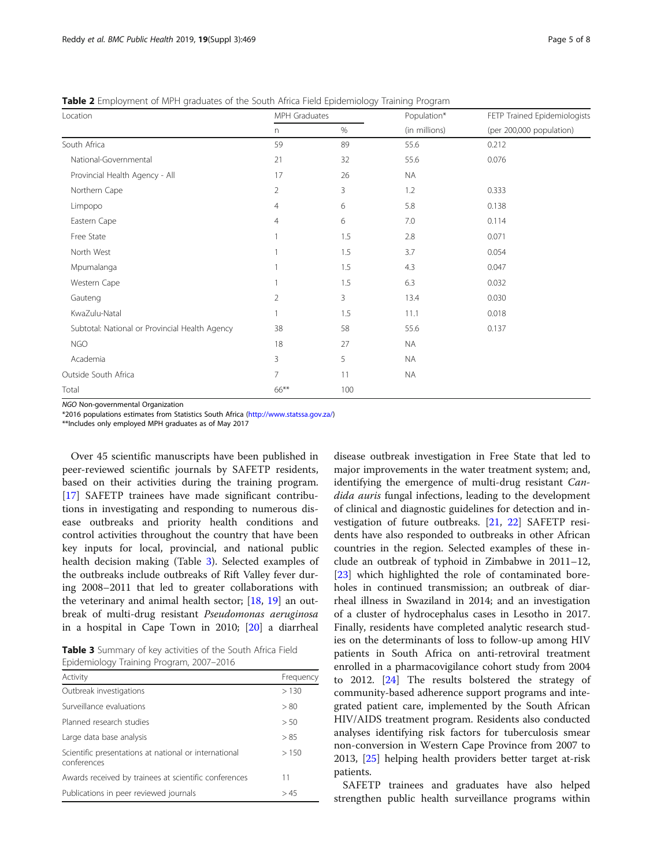| Location                                       | MPH Graduates  |      | Population*   | FETP Trained Epidemiologists |
|------------------------------------------------|----------------|------|---------------|------------------------------|
|                                                | n              | $\%$ | (in millions) | (per 200,000 population)     |
| South Africa                                   | 59             | 89   | 55.6          | 0.212                        |
| National-Governmental                          | 21             | 32   | 55.6          | 0.076                        |
| Provincial Health Agency - All                 | 17             | 26   | <b>NA</b>     |                              |
| Northern Cape                                  | $\overline{2}$ | 3    | 1.2           | 0.333                        |
| Limpopo                                        | 4              | 6    | 5.8           | 0.138                        |
| Eastern Cape                                   | $\overline{4}$ | 6    | 7.0           | 0.114                        |
| Free State                                     |                | 1.5  | 2.8           | 0.071                        |
| North West                                     |                | 1.5  | 3.7           | 0.054                        |
| Mpumalanga                                     |                | 1.5  | 4.3           | 0.047                        |
| Western Cape                                   |                | 1.5  | 6.3           | 0.032                        |
| Gauteng                                        | 2              | 3    | 13.4          | 0.030                        |
| KwaZulu-Natal                                  |                | 1.5  | 11.1          | 0.018                        |
| Subtotal: National or Provincial Health Agency | 38             | 58   | 55.6          | 0.137                        |
| <b>NGO</b>                                     | 18             | 27   | <b>NA</b>     |                              |
| Academia                                       | 3              | 5    | <b>NA</b>     |                              |
| Outside South Africa                           | 7              | 11   | <b>NA</b>     |                              |
| Total                                          | 66**           | 100  |               |                              |

<span id="page-4-0"></span>Table 2 Employment of MPH graduates of the South Africa Field Epidemiology Training Program

NGO Non-governmental Organization

\*2016 populations estimates from Statistics South Africa [\(http://www.statssa.gov.za/\)](http://www.statssa.gov.za/)

\*\*Includes only employed MPH graduates as of May 2017

Over 45 scientific manuscripts have been published in peer-reviewed scientific journals by SAFETP residents, based on their activities during the training program. [[17\]](#page-7-0) SAFETP trainees have made significant contributions in investigating and responding to numerous disease outbreaks and priority health conditions and control activities throughout the country that have been key inputs for local, provincial, and national public health decision making (Table 3). Selected examples of the outbreaks include outbreaks of Rift Valley fever during 2008–2011 that led to greater collaborations with the veterinary and animal health sector; [[18](#page-7-0), [19\]](#page-7-0) an outbreak of multi-drug resistant Pseudomonas aeruginosa in a hospital in Cape Town in 2010; [[20\]](#page-7-0) a diarrheal

Table 3 Summary of key activities of the South Africa Field Epidemiology Training Program, 2007–2016

| Activity                                                             | Frequency |
|----------------------------------------------------------------------|-----------|
| Outbreak investigations                                              | >130      |
| Surveillance evaluations                                             | > 80      |
| Planned research studies                                             | > 50      |
| Large data base analysis                                             | > 85      |
| Scientific presentations at national or international<br>conferences | >150      |
| Awards received by trainees at scientific conferences                | 11        |
| Publications in peer reviewed journals                               | >45       |

disease outbreak investigation in Free State that led to major improvements in the water treatment system; and, identifying the emergence of multi-drug resistant Candida auris fungal infections, leading to the development of clinical and diagnostic guidelines for detection and investigation of future outbreaks. [\[21,](#page-7-0) [22\]](#page-7-0) SAFETP residents have also responded to outbreaks in other African countries in the region. Selected examples of these include an outbreak of typhoid in Zimbabwe in 2011–12, [[23\]](#page-7-0) which highlighted the role of contaminated boreholes in continued transmission; an outbreak of diarrheal illness in Swaziland in 2014; and an investigation of a cluster of hydrocephalus cases in Lesotho in 2017. Finally, residents have completed analytic research studies on the determinants of loss to follow-up among HIV patients in South Africa on anti-retroviral treatment enrolled in a pharmacovigilance cohort study from 2004 to 2012. [[24](#page-7-0)] The results bolstered the strategy of community-based adherence support programs and integrated patient care, implemented by the South African HIV/AIDS treatment program. Residents also conducted analyses identifying risk factors for tuberculosis smear non-conversion in Western Cape Province from 2007 to 2013, [[25\]](#page-7-0) helping health providers better target at-risk patients.

SAFETP trainees and graduates have also helped strengthen public health surveillance programs within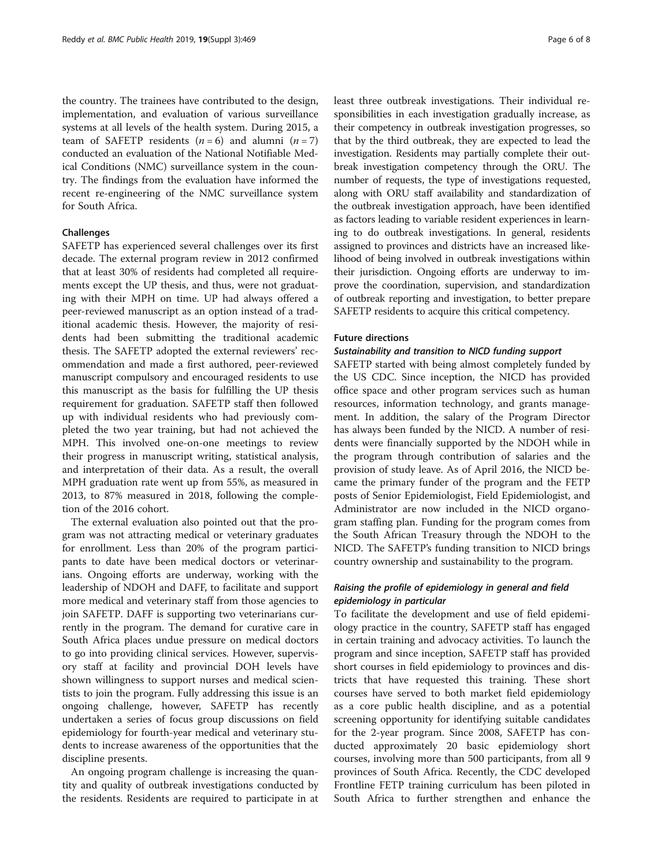the country. The trainees have contributed to the design, implementation, and evaluation of various surveillance systems at all levels of the health system. During 2015, a team of SAFETP residents  $(n = 6)$  and alumni  $(n = 7)$ conducted an evaluation of the National Notifiable Medical Conditions (NMC) surveillance system in the country. The findings from the evaluation have informed the recent re-engineering of the NMC surveillance system for South Africa.

#### Challenges

SAFETP has experienced several challenges over its first decade. The external program review in 2012 confirmed that at least 30% of residents had completed all requirements except the UP thesis, and thus, were not graduating with their MPH on time. UP had always offered a peer-reviewed manuscript as an option instead of a traditional academic thesis. However, the majority of residents had been submitting the traditional academic thesis. The SAFETP adopted the external reviewers' recommendation and made a first authored, peer-reviewed manuscript compulsory and encouraged residents to use this manuscript as the basis for fulfilling the UP thesis requirement for graduation. SAFETP staff then followed up with individual residents who had previously completed the two year training, but had not achieved the MPH. This involved one-on-one meetings to review their progress in manuscript writing, statistical analysis, and interpretation of their data. As a result, the overall MPH graduation rate went up from 55%, as measured in 2013, to 87% measured in 2018, following the completion of the 2016 cohort.

The external evaluation also pointed out that the program was not attracting medical or veterinary graduates for enrollment. Less than 20% of the program participants to date have been medical doctors or veterinarians. Ongoing efforts are underway, working with the leadership of NDOH and DAFF, to facilitate and support more medical and veterinary staff from those agencies to join SAFETP. DAFF is supporting two veterinarians currently in the program. The demand for curative care in South Africa places undue pressure on medical doctors to go into providing clinical services. However, supervisory staff at facility and provincial DOH levels have shown willingness to support nurses and medical scientists to join the program. Fully addressing this issue is an ongoing challenge, however, SAFETP has recently undertaken a series of focus group discussions on field epidemiology for fourth-year medical and veterinary students to increase awareness of the opportunities that the discipline presents.

An ongoing program challenge is increasing the quantity and quality of outbreak investigations conducted by the residents. Residents are required to participate in at least three outbreak investigations. Their individual responsibilities in each investigation gradually increase, as their competency in outbreak investigation progresses, so that by the third outbreak, they are expected to lead the investigation. Residents may partially complete their outbreak investigation competency through the ORU. The number of requests, the type of investigations requested, along with ORU staff availability and standardization of the outbreak investigation approach, have been identified as factors leading to variable resident experiences in learning to do outbreak investigations. In general, residents assigned to provinces and districts have an increased likelihood of being involved in outbreak investigations within their jurisdiction. Ongoing efforts are underway to improve the coordination, supervision, and standardization of outbreak reporting and investigation, to better prepare SAFETP residents to acquire this critical competency.

#### Future directions

#### Sustainability and transition to NICD funding support

SAFETP started with being almost completely funded by the US CDC. Since inception, the NICD has provided office space and other program services such as human resources, information technology, and grants management. In addition, the salary of the Program Director has always been funded by the NICD. A number of residents were financially supported by the NDOH while in the program through contribution of salaries and the provision of study leave. As of April 2016, the NICD became the primary funder of the program and the FETP posts of Senior Epidemiologist, Field Epidemiologist, and Administrator are now included in the NICD organogram staffing plan. Funding for the program comes from the South African Treasury through the NDOH to the NICD. The SAFETP's funding transition to NICD brings country ownership and sustainability to the program.

### Raising the profile of epidemiology in general and field epidemiology in particular

To facilitate the development and use of field epidemiology practice in the country, SAFETP staff has engaged in certain training and advocacy activities. To launch the program and since inception, SAFETP staff has provided short courses in field epidemiology to provinces and districts that have requested this training. These short courses have served to both market field epidemiology as a core public health discipline, and as a potential screening opportunity for identifying suitable candidates for the 2-year program. Since 2008, SAFETP has conducted approximately 20 basic epidemiology short courses, involving more than 500 participants, from all 9 provinces of South Africa. Recently, the CDC developed Frontline FETP training curriculum has been piloted in South Africa to further strengthen and enhance the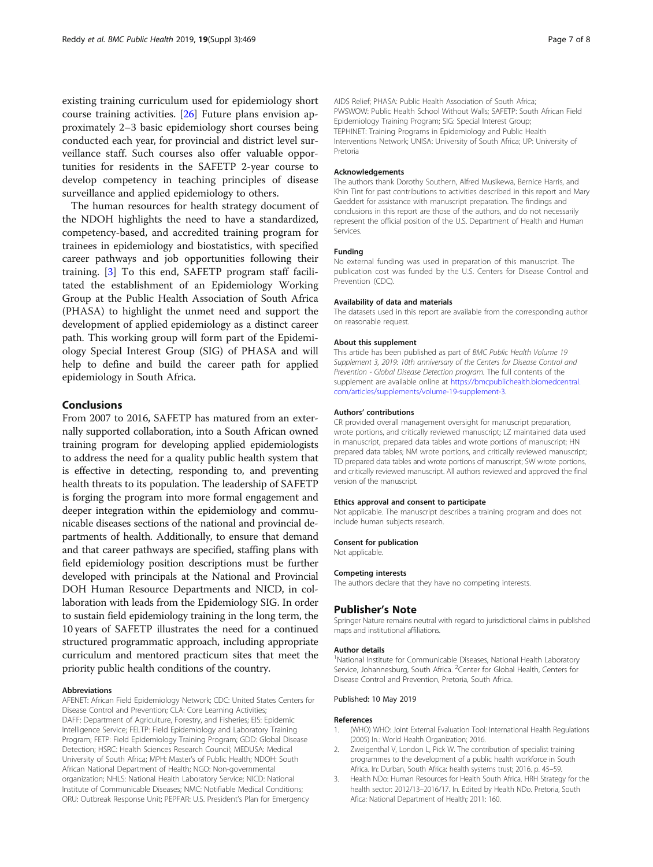<span id="page-6-0"></span>existing training curriculum used for epidemiology short course training activities. [\[26](#page-7-0)] Future plans envision approximately 2–3 basic epidemiology short courses being conducted each year, for provincial and district level surveillance staff. Such courses also offer valuable opportunities for residents in the SAFETP 2-year course to develop competency in teaching principles of disease surveillance and applied epidemiology to others.

The human resources for health strategy document of the NDOH highlights the need to have a standardized, competency-based, and accredited training program for trainees in epidemiology and biostatistics, with specified career pathways and job opportunities following their training. [3] To this end, SAFETP program staff facilitated the establishment of an Epidemiology Working Group at the Public Health Association of South Africa (PHASA) to highlight the unmet need and support the development of applied epidemiology as a distinct career path. This working group will form part of the Epidemiology Special Interest Group (SIG) of PHASA and will help to define and build the career path for applied epidemiology in South Africa.

#### Conclusions

From 2007 to 2016, SAFETP has matured from an externally supported collaboration, into a South African owned training program for developing applied epidemiologists to address the need for a quality public health system that is effective in detecting, responding to, and preventing health threats to its population. The leadership of SAFETP is forging the program into more formal engagement and deeper integration within the epidemiology and communicable diseases sections of the national and provincial departments of health. Additionally, to ensure that demand and that career pathways are specified, staffing plans with field epidemiology position descriptions must be further developed with principals at the National and Provincial DOH Human Resource Departments and NICD, in collaboration with leads from the Epidemiology SIG. In order to sustain field epidemiology training in the long term, the 10 years of SAFETP illustrates the need for a continued structured programmatic approach, including appropriate curriculum and mentored practicum sites that meet the priority public health conditions of the country.

#### Abbreviations

AFENET: African Field Epidemiology Network; CDC: United States Centers for Disease Control and Prevention; CLA: Core Learning Activities; DAFF: Department of Agriculture, Forestry, and Fisheries; EIS: Epidemic Intelligence Service; FELTP: Field Epidemiology and Laboratory Training Program; FETP: Field Epidemiology Training Program; GDD: Global Disease Detection; HSRC: Health Sciences Research Council; MEDUSA: Medical University of South Africa; MPH: Master's of Public Health; NDOH: South African National Department of Health; NGO: Non-governmental organization; NHLS: National Health Laboratory Service; NICD: National Institute of Communicable Diseases; NMC: Notifiable Medical Conditions; ORU: Outbreak Response Unit; PEPFAR: U.S. President's Plan for Emergency

AIDS Relief; PHASA: Public Health Association of South Africa; PWSWOW: Public Health School Without Walls; SAFETP: South African Field Epidemiology Training Program; SIG: Special Interest Group; TEPHINET: Training Programs in Epidemiology and Public Health Interventions Network; UNISA: University of South Africa; UP: University of Pretoria

#### Acknowledgements

The authors thank Dorothy Southern, Alfred Musikewa, Bernice Harris, and Khin Tint for past contributions to activities described in this report and Mary Gaeddert for assistance with manuscript preparation. The findings and conclusions in this report are those of the authors, and do not necessarily represent the official position of the U.S. Department of Health and Human Services.

#### Funding

No external funding was used in preparation of this manuscript. The publication cost was funded by the U.S. Centers for Disease Control and Prevention (CDC).

#### Availability of data and materials

The datasets used in this report are available from the corresponding author on reasonable request.

#### About this supplement

This article has been published as part of BMC Public Health Volume 19 Supplement 3, 2019: 10th anniversary of the Centers for Disease Control and Prevention - Global Disease Detection program. The full contents of the supplement are available online at [https://bmcpublichealth.biomedcentral.](https://bmcpublichealth.biomedcentral.com/articles/supplements/volume-19-supplement-3) [com/articles/supplements/volume-19-supplement-3.](https://bmcpublichealth.biomedcentral.com/articles/supplements/volume-19-supplement-3)

#### Authors' contributions

CR provided overall management oversight for manuscript preparation, wrote portions, and critically reviewed manuscript; LZ maintained data used in manuscript, prepared data tables and wrote portions of manuscript; HN prepared data tables; NM wrote portions, and critically reviewed manuscript; TD prepared data tables and wrote portions of manuscript; SW wrote portions, and critically reviewed manuscript. All authors reviewed and approved the final version of the manuscript.

#### Ethics approval and consent to participate

Not applicable. The manuscript describes a training program and does not include human subjects research.

## Consent for publication

Not applicable.

#### Competing interests

The authors declare that they have no competing interests.

#### Publisher's Note

Springer Nature remains neutral with regard to jurisdictional claims in published maps and institutional affiliations.

#### Author details

<sup>1</sup>National Institute for Communicable Diseases, National Health Laboratory Service, Johannesburg, South Africa. <sup>2</sup>Center for Global Health, Centers for Disease Control and Prevention, Pretoria, South Africa.

#### Published: 10 May 2019

#### References

- (WHO) WHO: Joint External Evaluation Tool: International Health Regulations (2005) In.: World Health Organization; 2016.
- 2. Zweigenthal V, London L, Pick W. The contribution of specialist training programmes to the development of a public health workforce in South Africa. In: Durban, South Africa: health systems trust; 2016. p. 45–59.
- 3. Health NDo: Human Resources for Health South Africa. HRH Strategy for the health sector: 2012/13–2016/17. In. Edited by Health NDo. Pretoria, South Afica: National Department of Health; 2011: 160.